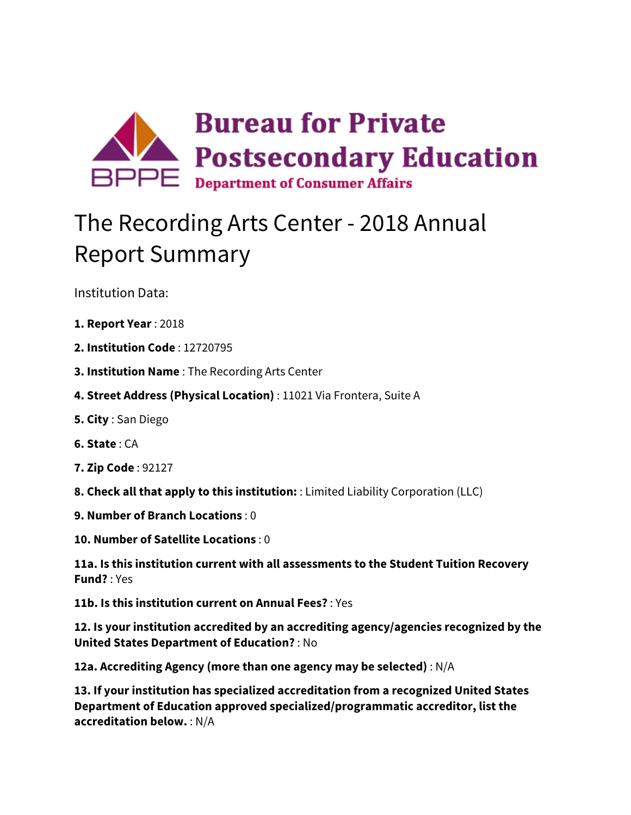

## The Recording Arts Center - 2018 Annual Report Summary

Institution Data:

- **1. Report Year** : 2018
- **2. Institution Code** : 12720795
- **3. Institution Name** : The Recording Arts Center
- **4. Street Address (Physical Location)** : 11021 Via Frontera, Suite A
- **5. City** : San Diego
- **6. State** : CA
- **7. Zip Code** : 92127
- **8. Check all that apply to this institution:** : Limited Liability Corporation (LLC)
- **9. Number of Branch Locations** : 0
- **10. Number of Satellite Locations** : 0

**11a. Is this institution current with all assessments to the Student Tuition Recovery Fund?** : Yes

**11b. Is this institution current on Annual Fees?** : Yes

**12. Is your institution accredited by an accrediting agency/agencies recognized by the United States Department of Education?** : No

**12a. Accrediting Agency (more than one agency may be selected)** : N/A

**13. If your institution has specialized accreditation from a recognized United States Department of Education approved specialized/programmatic accreditor, list the accreditation below.** : N/A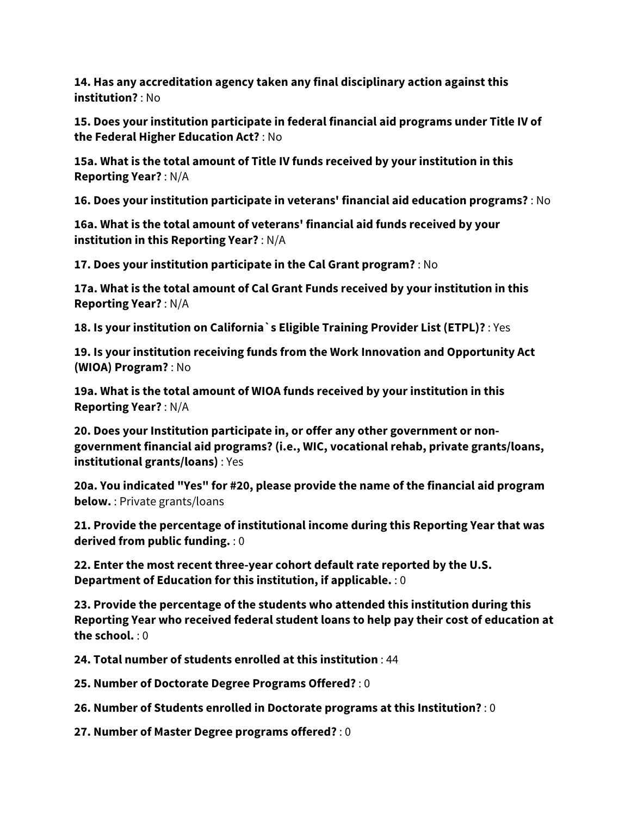**14. Has any accreditation agency taken any final disciplinary action against this institution?** : No

**15. Does your institution participate in federal financial aid programs under Title IV of the Federal Higher Education Act?** : No

**15a. What is the total amount of Title IV funds received by your institution in this Reporting Year?** : N/A

**16. Does your institution participate in veterans' financial aid education programs?** : No

**16a. What is the total amount of veterans' financial aid funds received by your institution in this Reporting Year?** : N/A

**17. Does your institution participate in the Cal Grant program?** : No

**17a. What is the total amount of Cal Grant Funds received by your institution in this Reporting Year?** : N/A

**18. Is your institution on California`s Eligible Training Provider List (ETPL)?** : Yes

**19. Is your institution receiving funds from the Work Innovation and Opportunity Act (WIOA) Program?** : No

**19a. What is the total amount of WIOA funds received by your institution in this Reporting Year?** : N/A

**20. Does your Institution participate in, or offer any other government or nongovernment financial aid programs? (i.e., WIC, vocational rehab, private grants/loans, institutional grants/loans)** : Yes

**20a. You indicated "Yes" for #20, please provide the name of the financial aid program below.** : Private grants/loans

**21. Provide the percentage of institutional income during this Reporting Year that was derived from public funding.** : 0

**22. Enter the most recent three-year cohort default rate reported by the U.S. Department of Education for this institution, if applicable.** : 0

**23. Provide the percentage of the students who attended this institution during this Reporting Year who received federal student loans to help pay their cost of education at the school.** : 0

**24. Total number of students enrolled at this institution** : 44

**25. Number of Doctorate Degree Programs Offered?** : 0

**26. Number of Students enrolled in Doctorate programs at this Institution?** : 0

**27. Number of Master Degree programs offered?** : 0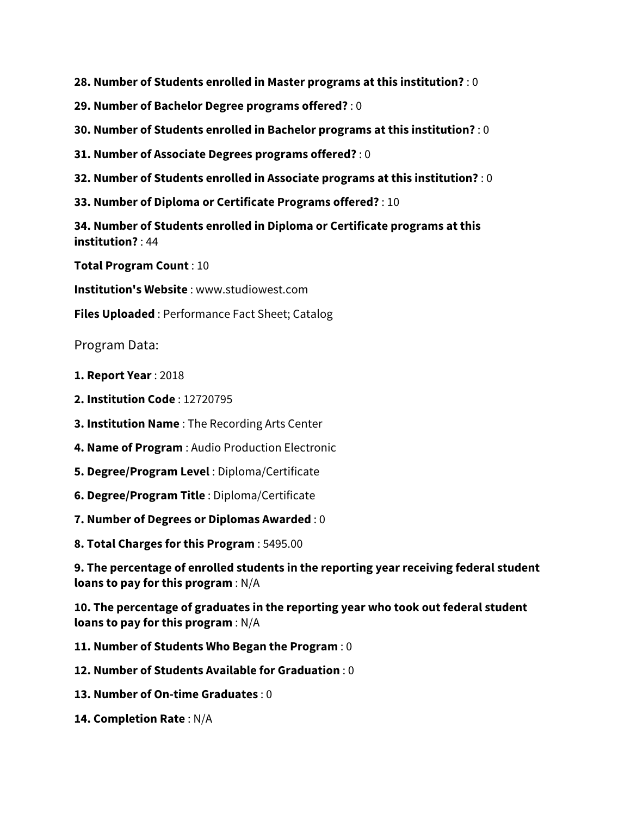**28. Number of Students enrolled in Master programs at this institution?** : 0

- **29. Number of Bachelor Degree programs offered?** : 0
- **30. Number of Students enrolled in Bachelor programs at this institution?** : 0
- **31. Number of Associate Degrees programs offered?** : 0
- **32. Number of Students enrolled in Associate programs at this institution?** : 0
- **33. Number of Diploma or Certificate Programs offered?** : 10

**34. Number of Students enrolled in Diploma or Certificate programs at this institution?** : 44

**Total Program Count** : 10

**Institution's Website** : www.studiowest.com

**Files Uploaded** : Performance Fact Sheet; Catalog

Program Data:

- **1. Report Year** : 2018
- **2. Institution Code** : 12720795
- **3. Institution Name** : The Recording Arts Center
- **4. Name of Program** : Audio Production Electronic
- **5. Degree/Program Level** : Diploma/Certificate
- **6. Degree/Program Title** : Diploma/Certificate
- **7. Number of Degrees or Diplomas Awarded** : 0
- **8. Total Charges for this Program** : 5495.00

**9. The percentage of enrolled students in the reporting year receiving federal student loans to pay for this program** : N/A

**10. The percentage of graduates in the reporting year who took out federal student loans to pay for this program** : N/A

- **11. Number of Students Who Began the Program** : 0
- **12. Number of Students Available for Graduation** : 0
- **13. Number of On-time Graduates** : 0
- **14. Completion Rate** : N/A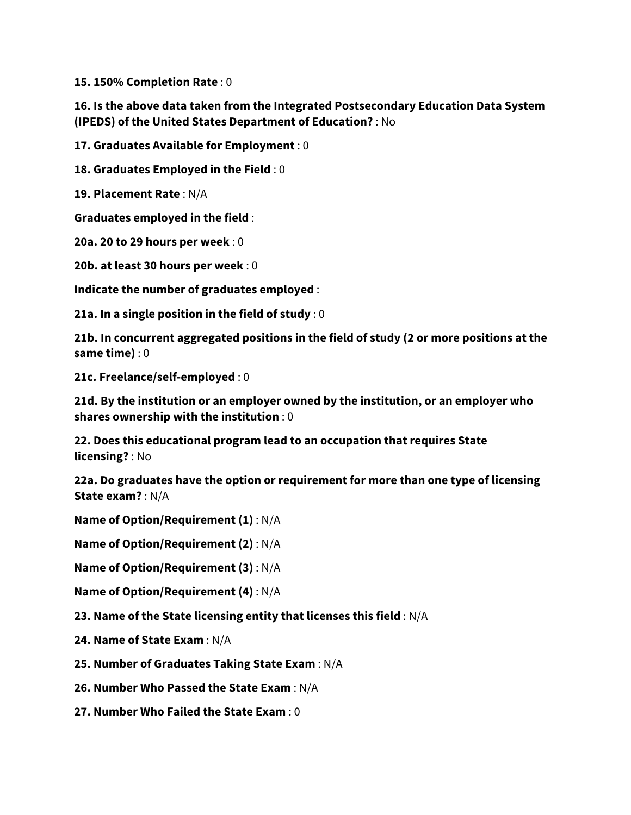**15. 150% Completion Rate** : 0

## **16. Is the above data taken from the Integrated Postsecondary Education Data System (IPEDS) of the United States Department of Education?** : No

**17. Graduates Available for Employment** : 0

**18. Graduates Employed in the Field** : 0

**19. Placement Rate** : N/A

**Graduates employed in the field** :

**20a. 20 to 29 hours per week** : 0

**20b. at least 30 hours per week** : 0

**Indicate the number of graduates employed** :

**21a. In a single position in the field of study** : 0

**21b. In concurrent aggregated positions in the field of study (2 or more positions at the same time)** : 0

**21c. Freelance/self-employed** : 0

**21d. By the institution or an employer owned by the institution, or an employer who shares ownership with the institution** : 0

**22. Does this educational program lead to an occupation that requires State licensing?** : No

**22a. Do graduates have the option or requirement for more than one type of licensing State exam?** : N/A

**Name of Option/Requirement (1)** : N/A

**Name of Option/Requirement (2)** : N/A

**Name of Option/Requirement (3)** : N/A

**Name of Option/Requirement (4)** : N/A

**23. Name of the State licensing entity that licenses this field** : N/A

**24. Name of State Exam** : N/A

**25. Number of Graduates Taking State Exam** : N/A

**26. Number Who Passed the State Exam** : N/A

**27. Number Who Failed the State Exam** : 0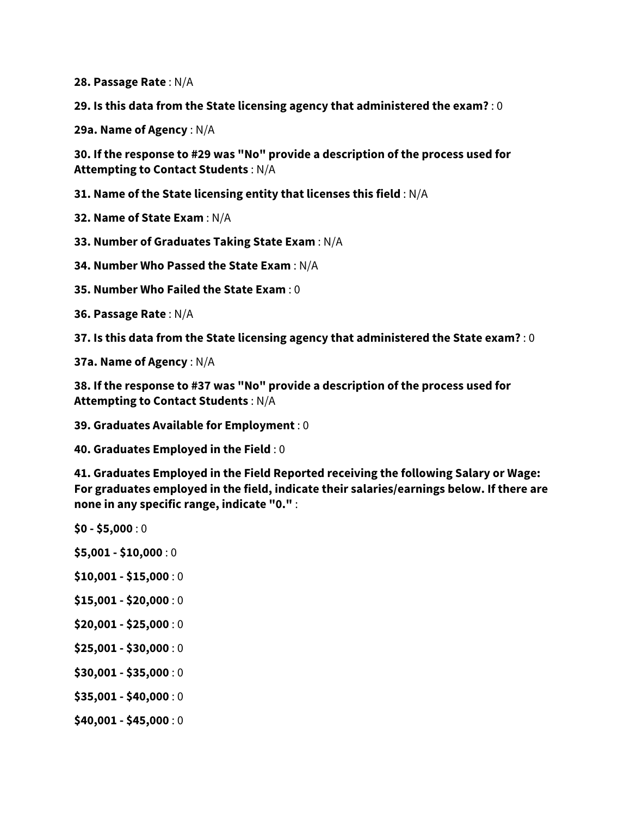**28. Passage Rate** : N/A

**29. Is this data from the State licensing agency that administered the exam?** : 0

**29a. Name of Agency** : N/A

**30. If the response to #29 was "No" provide a description of the process used for Attempting to Contact Students** : N/A

**31. Name of the State licensing entity that licenses this field** : N/A

**32. Name of State Exam** : N/A

**33. Number of Graduates Taking State Exam** : N/A

**34. Number Who Passed the State Exam** : N/A

**35. Number Who Failed the State Exam** : 0

**36. Passage Rate** : N/A

**37. Is this data from the State licensing agency that administered the State exam?** : 0

**37a. Name of Agency** : N/A

**38. If the response to #37 was "No" provide a description of the process used for Attempting to Contact Students** : N/A

**39. Graduates Available for Employment** : 0

**40. Graduates Employed in the Field** : 0

**41. Graduates Employed in the Field Reported receiving the following Salary or Wage: For graduates employed in the field, indicate their salaries/earnings below. If there are none in any specific range, indicate "0."** :

**\$0 - \$5,000** : 0

- **\$5,001 - \$10,000** : 0
- **\$10,001 - \$15,000** : 0
- **\$15,001 - \$20,000** : 0
- **\$20,001 - \$25,000** : 0
- **\$25,001 - \$30,000** : 0
- **\$30,001 - \$35,000** : 0
- **\$35,001 - \$40,000** : 0
- **\$40,001 - \$45,000** : 0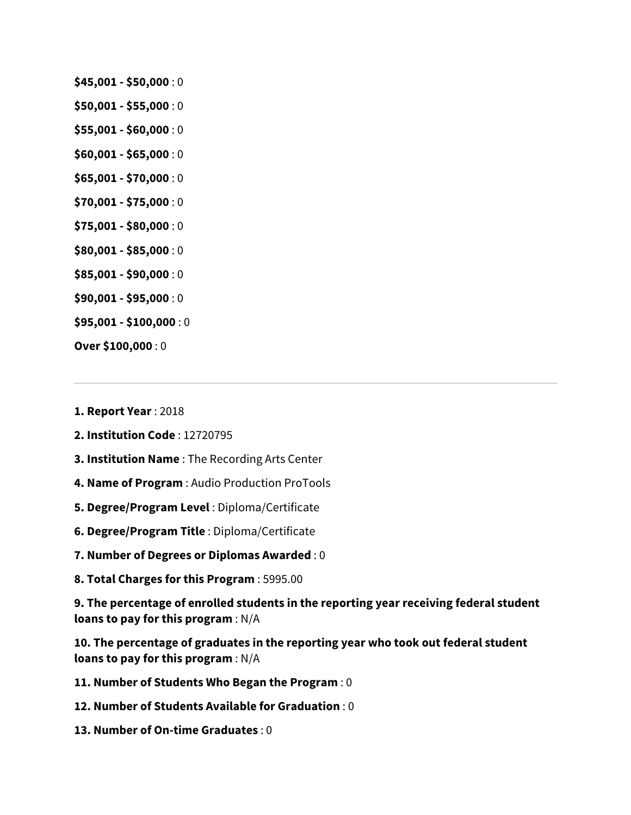- **\$45,001 - \$50,000** : 0
- **\$50,001 - \$55,000** : 0
- **\$55,001 - \$60,000** : 0
- **\$60,001 - \$65,000** : 0
- **\$65,001 - \$70,000** : 0
- **\$70,001 - \$75,000** : 0
- **\$75,001 - \$80,000** : 0
- **\$80,001 - \$85,000** : 0
- **\$85,001 - \$90,000** : 0
- **\$90,001 - \$95,000** : 0
- **\$95,001 - \$100,000** : 0
- **Over \$100,000** : 0
- **1. Report Year** : 2018
- **2. Institution Code** : 12720795
- **3. Institution Name** : The Recording Arts Center
- **4. Name of Program** : Audio Production ProTools
- **5. Degree/Program Level** : Diploma/Certificate
- **6. Degree/Program Title** : Diploma/Certificate
- **7. Number of Degrees or Diplomas Awarded** : 0
- **8. Total Charges for this Program** : 5995.00

**9. The percentage of enrolled students in the reporting year receiving federal student loans to pay for this program** : N/A

**10. The percentage of graduates in the reporting year who took out federal student loans to pay for this program** : N/A

- **11. Number of Students Who Began the Program** : 0
- **12. Number of Students Available for Graduation** : 0
- **13. Number of On-time Graduates** : 0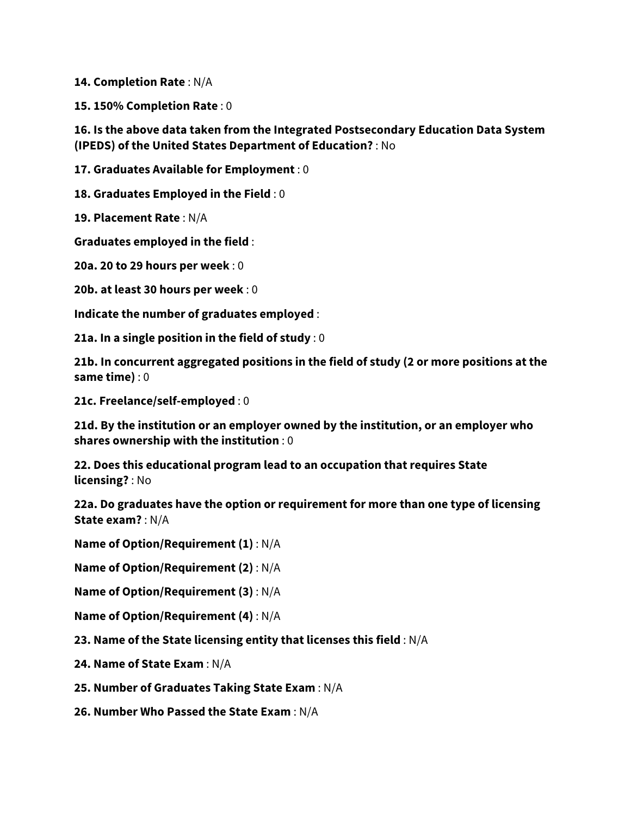**14. Completion Rate** : N/A

**15. 150% Completion Rate** : 0

**16. Is the above data taken from the Integrated Postsecondary Education Data System (IPEDS) of the United States Department of Education?** : No

**17. Graduates Available for Employment** : 0

**18. Graduates Employed in the Field** : 0

**19. Placement Rate** : N/A

**Graduates employed in the field** :

**20a. 20 to 29 hours per week** : 0

**20b. at least 30 hours per week** : 0

**Indicate the number of graduates employed** :

**21a. In a single position in the field of study** : 0

**21b. In concurrent aggregated positions in the field of study (2 or more positions at the same time)** : 0

**21c. Freelance/self-employed** : 0

**21d. By the institution or an employer owned by the institution, or an employer who shares ownership with the institution** : 0

**22. Does this educational program lead to an occupation that requires State licensing?** : No

**22a. Do graduates have the option or requirement for more than one type of licensing State exam?** : N/A

**Name of Option/Requirement (1)** : N/A

**Name of Option/Requirement (2)** : N/A

**Name of Option/Requirement (3)** : N/A

**Name of Option/Requirement (4)** : N/A

**23. Name of the State licensing entity that licenses this field** : N/A

**24. Name of State Exam** : N/A

**25. Number of Graduates Taking State Exam** : N/A

**26. Number Who Passed the State Exam** : N/A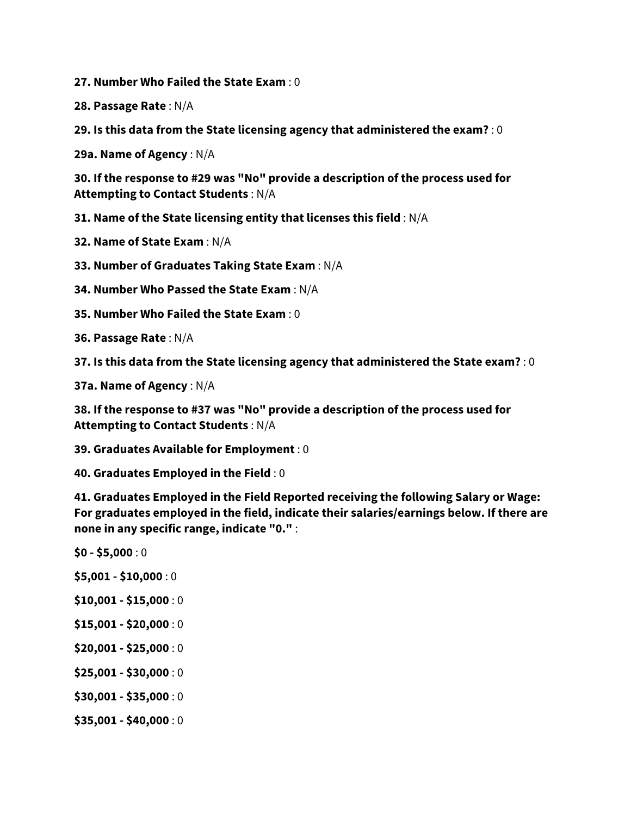**27. Number Who Failed the State Exam** : 0

**28. Passage Rate** : N/A

**29. Is this data from the State licensing agency that administered the exam?** : 0

**29a. Name of Agency** : N/A

**30. If the response to #29 was "No" provide a description of the process used for Attempting to Contact Students** : N/A

**31. Name of the State licensing entity that licenses this field** : N/A

**32. Name of State Exam** : N/A

**33. Number of Graduates Taking State Exam** : N/A

**34. Number Who Passed the State Exam** : N/A

**35. Number Who Failed the State Exam** : 0

**36. Passage Rate** : N/A

**37. Is this data from the State licensing agency that administered the State exam?** : 0

**37a. Name of Agency** : N/A

**38. If the response to #37 was "No" provide a description of the process used for Attempting to Contact Students** : N/A

**39. Graduates Available for Employment** : 0

**40. Graduates Employed in the Field** : 0

**41. Graduates Employed in the Field Reported receiving the following Salary or Wage: For graduates employed in the field, indicate their salaries/earnings below. If there are none in any specific range, indicate "0."** :

- **\$0 - \$5,000** : 0
- **\$5,001 - \$10,000** : 0
- **\$10,001 - \$15,000** : 0
- **\$15,001 - \$20,000** : 0
- **\$20,001 - \$25,000** : 0
- **\$25,001 - \$30,000** : 0
- **\$30,001 - \$35,000** : 0
- **\$35,001 - \$40,000** : 0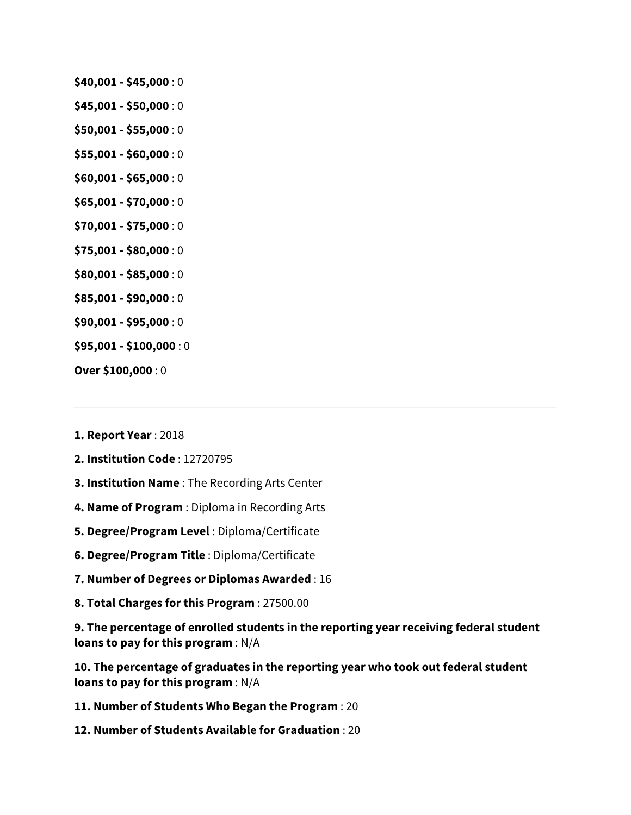- **\$40,001 - \$45,000** : 0
- **\$45,001 - \$50,000** : 0
- **\$50,001 - \$55,000** : 0
- **\$55,001 - \$60,000** : 0
- **\$60,001 - \$65,000** : 0
- **\$65,001 - \$70,000** : 0
- **\$70,001 - \$75,000** : 0
- **\$75,001 - \$80,000** : 0
- **\$80,001 - \$85,000** : 0
- **\$85,001 - \$90,000** : 0
- **\$90,001 - \$95,000** : 0
- **\$95,001 - \$100,000** : 0
- **Over \$100,000** : 0
- **1. Report Year** : 2018
- **2. Institution Code** : 12720795
- **3. Institution Name** : The Recording Arts Center
- **4. Name of Program** : Diploma in Recording Arts
- **5. Degree/Program Level** : Diploma/Certificate
- **6. Degree/Program Title** : Diploma/Certificate
- **7. Number of Degrees or Diplomas Awarded** : 16
- **8. Total Charges for this Program** : 27500.00

**9. The percentage of enrolled students in the reporting year receiving federal student loans to pay for this program** : N/A

**10. The percentage of graduates in the reporting year who took out federal student loans to pay for this program** : N/A

- **11. Number of Students Who Began the Program** : 20
- **12. Number of Students Available for Graduation** : 20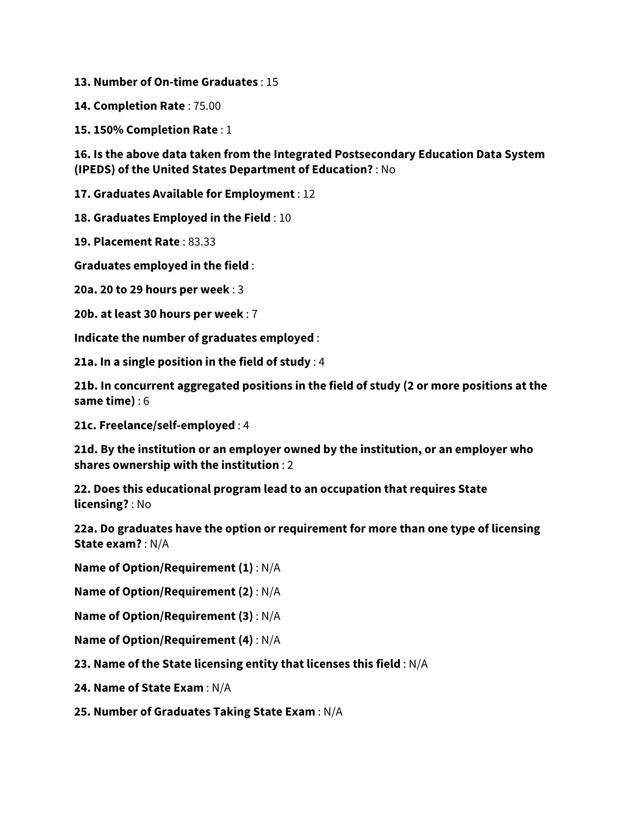**13. Number of On-time Graduates** : 15

**14. Completion Rate** : 75.00

**15. 150% Completion Rate** : 1

**16. Is the above data taken from the Integrated Postsecondary Education Data System (IPEDS) of the United States Department of Education?** : No

**17. Graduates Available for Employment** : 12

**18. Graduates Employed in the Field** : 10

**19. Placement Rate** : 83.33

**Graduates employed in the field** :

**20a. 20 to 29 hours per week** : 3

**20b. at least 30 hours per week** : 7

**Indicate the number of graduates employed** :

**21a. In a single position in the field of study** : 4

**21b. In concurrent aggregated positions in the field of study (2 or more positions at the same time)** : 6

**21c. Freelance/self-employed** : 4

**21d. By the institution or an employer owned by the institution, or an employer who shares ownership with the institution** : 2

**22. Does this educational program lead to an occupation that requires State licensing?** : No

**22a. Do graduates have the option or requirement for more than one type of licensing State exam?** : N/A

**Name of Option/Requirement (1)** : N/A

**Name of Option/Requirement (2)** : N/A

**Name of Option/Requirement (3)** : N/A

**Name of Option/Requirement (4)** : N/A

**23. Name of the State licensing entity that licenses this field** : N/A

**24. Name of State Exam** : N/A

**25. Number of Graduates Taking State Exam** : N/A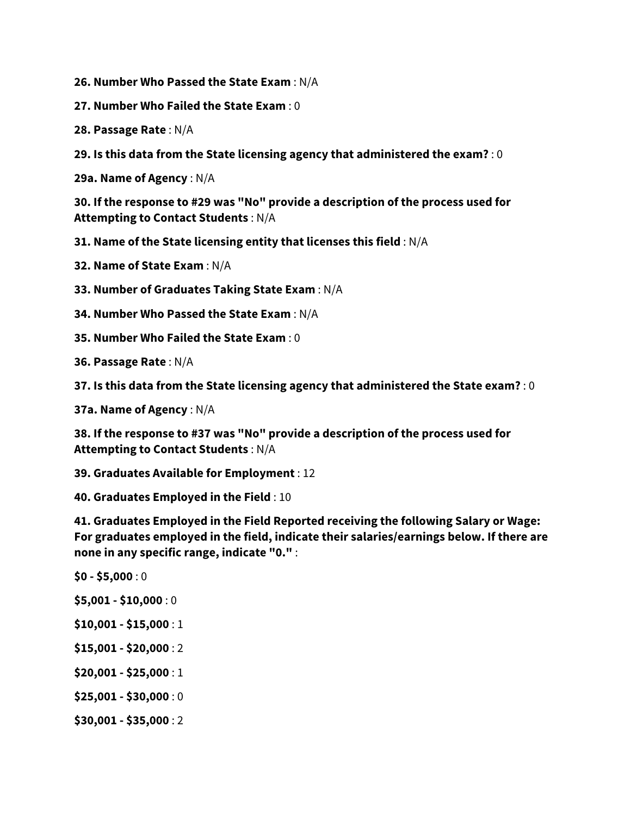- **26. Number Who Passed the State Exam** : N/A
- **27. Number Who Failed the State Exam** : 0
- **28. Passage Rate** : N/A
- **29. Is this data from the State licensing agency that administered the exam?** : 0

**29a. Name of Agency** : N/A

**30. If the response to #29 was "No" provide a description of the process used for Attempting to Contact Students** : N/A

**31. Name of the State licensing entity that licenses this field** : N/A

**32. Name of State Exam** : N/A

- **33. Number of Graduates Taking State Exam** : N/A
- **34. Number Who Passed the State Exam** : N/A
- **35. Number Who Failed the State Exam** : 0
- **36. Passage Rate** : N/A
- **37. Is this data from the State licensing agency that administered the State exam?** : 0
- **37a. Name of Agency** : N/A

**38. If the response to #37 was "No" provide a description of the process used for Attempting to Contact Students** : N/A

**39. Graduates Available for Employment** : 12

**40. Graduates Employed in the Field** : 10

**41. Graduates Employed in the Field Reported receiving the following Salary or Wage: For graduates employed in the field, indicate their salaries/earnings below. If there are none in any specific range, indicate "0."** :

- **\$0 - \$5,000** : 0
- **\$5,001 - \$10,000** : 0
- **\$10,001 - \$15,000** : 1
- **\$15,001 - \$20,000** : 2
- **\$20,001 - \$25,000** : 1
- **\$25,001 - \$30,000** : 0
- **\$30,001 - \$35,000** : 2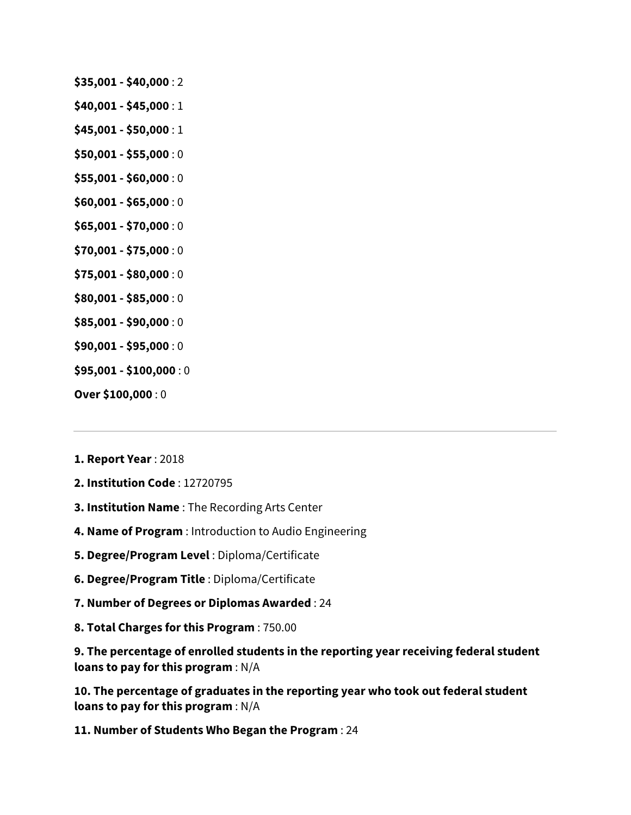- **\$35,001 - \$40,000** : 2
- **\$40,001 - \$45,000** : 1
- **\$45,001 - \$50,000** : 1
- **\$50,001 - \$55,000** : 0
- **\$55,001 - \$60,000** : 0
- **\$60,001 - \$65,000** : 0
- **\$65,001 - \$70,000** : 0
- **\$70,001 - \$75,000** : 0
- **\$75,001 - \$80,000** : 0
- **\$80,001 - \$85,000** : 0
- **\$85,001 - \$90,000** : 0
- **\$90,001 - \$95,000** : 0
- **\$95,001 - \$100,000** : 0
- **Over \$100,000** : 0
- **1. Report Year** : 2018
- **2. Institution Code** : 12720795
- **3. Institution Name** : The Recording Arts Center
- **4. Name of Program** : Introduction to Audio Engineering
- **5. Degree/Program Level** : Diploma/Certificate
- **6. Degree/Program Title** : Diploma/Certificate
- **7. Number of Degrees or Diplomas Awarded** : 24
- **8. Total Charges for this Program** : 750.00

**9. The percentage of enrolled students in the reporting year receiving federal student loans to pay for this program** : N/A

**10. The percentage of graduates in the reporting year who took out federal student loans to pay for this program** : N/A

**11. Number of Students Who Began the Program** : 24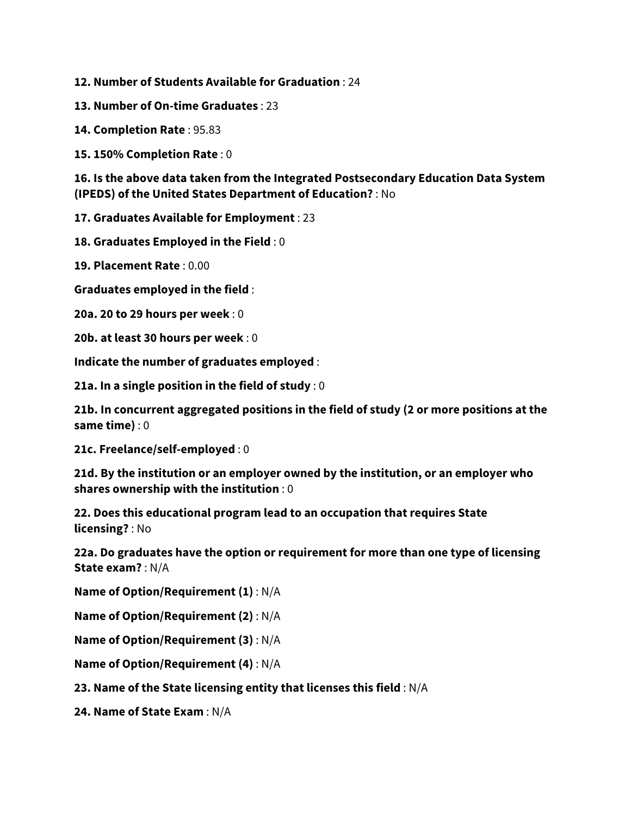- **12. Number of Students Available for Graduation** : 24
- **13. Number of On-time Graduates** : 23
- **14. Completion Rate** : 95.83
- **15. 150% Completion Rate** : 0

**16. Is the above data taken from the Integrated Postsecondary Education Data System (IPEDS) of the United States Department of Education?** : No

**17. Graduates Available for Employment** : 23

**18. Graduates Employed in the Field** : 0

**19. Placement Rate** : 0.00

**Graduates employed in the field** :

**20a. 20 to 29 hours per week** : 0

**20b. at least 30 hours per week** : 0

**Indicate the number of graduates employed** :

**21a. In a single position in the field of study** : 0

**21b. In concurrent aggregated positions in the field of study (2 or more positions at the same time)** : 0

**21c. Freelance/self-employed** : 0

**21d. By the institution or an employer owned by the institution, or an employer who shares ownership with the institution** : 0

**22. Does this educational program lead to an occupation that requires State licensing?** : No

**22a. Do graduates have the option or requirement for more than one type of licensing State exam?** : N/A

**Name of Option/Requirement (1)** : N/A

**Name of Option/Requirement (2)** : N/A

**Name of Option/Requirement (3)** : N/A

**Name of Option/Requirement (4)** : N/A

**23. Name of the State licensing entity that licenses this field** : N/A

**24. Name of State Exam** : N/A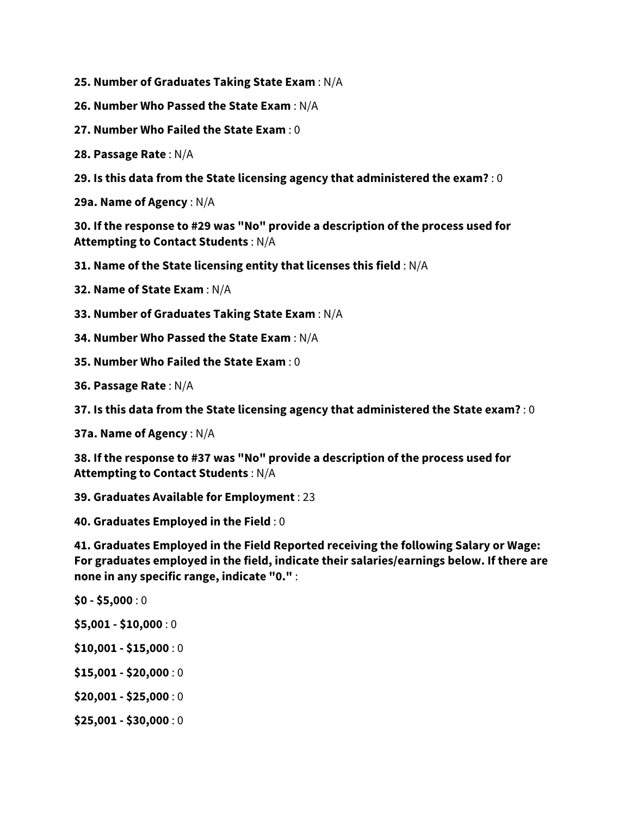**25. Number of Graduates Taking State Exam** : N/A

- **26. Number Who Passed the State Exam** : N/A
- **27. Number Who Failed the State Exam** : 0

**28. Passage Rate** : N/A

**29. Is this data from the State licensing agency that administered the exam?** : 0

**29a. Name of Agency** : N/A

**30. If the response to #29 was "No" provide a description of the process used for Attempting to Contact Students** : N/A

**31. Name of the State licensing entity that licenses this field** : N/A

**32. Name of State Exam** : N/A

**33. Number of Graduates Taking State Exam** : N/A

**34. Number Who Passed the State Exam** : N/A

**35. Number Who Failed the State Exam** : 0

**36. Passage Rate** : N/A

**37. Is this data from the State licensing agency that administered the State exam?** : 0

**37a. Name of Agency** : N/A

**38. If the response to #37 was "No" provide a description of the process used for Attempting to Contact Students** : N/A

**39. Graduates Available for Employment** : 23

**40. Graduates Employed in the Field** : 0

**41. Graduates Employed in the Field Reported receiving the following Salary or Wage: For graduates employed in the field, indicate their salaries/earnings below. If there are none in any specific range, indicate "0."** :

**\$0 - \$5,000** : 0

- **\$5,001 - \$10,000** : 0
- **\$10,001 - \$15,000** : 0
- **\$15,001 - \$20,000** : 0
- **\$20,001 - \$25,000** : 0
- **\$25,001 - \$30,000** : 0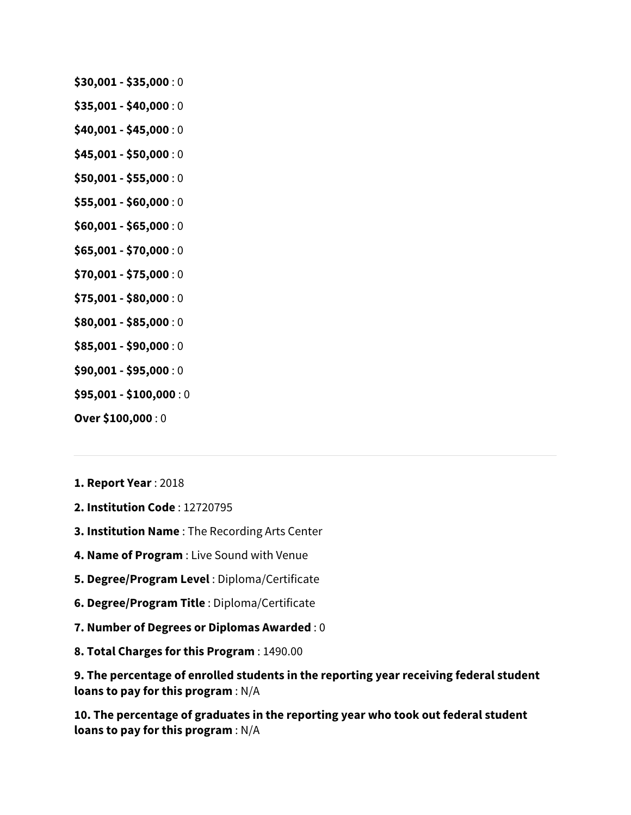- **\$30,001 - \$35,000** : 0
- **\$35,001 - \$40,000** : 0
- **\$40,001 - \$45,000** : 0
- **\$45,001 - \$50,000** : 0
- **\$50,001 - \$55,000** : 0
- **\$55,001 - \$60,000** : 0
- **\$60,001 - \$65,000** : 0
- **\$65,001 - \$70,000** : 0
- **\$70,001 - \$75,000** : 0
- **\$75,001 - \$80,000** : 0
- **\$80,001 - \$85,000** : 0
- **\$85,001 - \$90,000** : 0
- **\$90,001 - \$95,000** : 0
- **\$95,001 - \$100,000** : 0
- **Over \$100,000** : 0
- **1. Report Year** : 2018
- **2. Institution Code** : 12720795
- **3. Institution Name** : The Recording Arts Center
- **4. Name of Program** : Live Sound with Venue
- **5. Degree/Program Level** : Diploma/Certificate
- **6. Degree/Program Title** : Diploma/Certificate
- **7. Number of Degrees or Diplomas Awarded** : 0
- **8. Total Charges for this Program** : 1490.00

**9. The percentage of enrolled students in the reporting year receiving federal student loans to pay for this program** : N/A

**10. The percentage of graduates in the reporting year who took out federal student loans to pay for this program** : N/A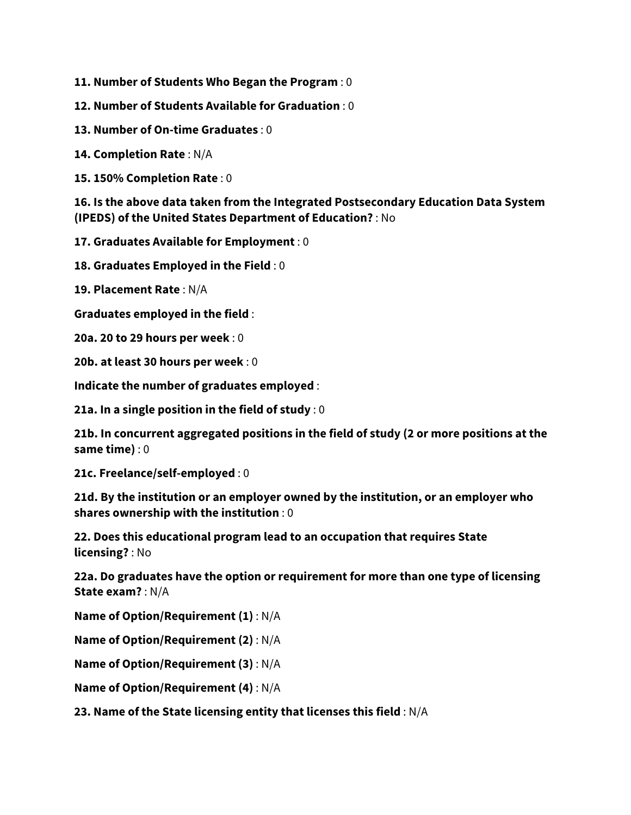**11. Number of Students Who Began the Program** : 0

**12. Number of Students Available for Graduation** : 0

**13. Number of On-time Graduates** : 0

**14. Completion Rate** : N/A

**15. 150% Completion Rate** : 0

**16. Is the above data taken from the Integrated Postsecondary Education Data System (IPEDS) of the United States Department of Education?** : No

**17. Graduates Available for Employment** : 0

**18. Graduates Employed in the Field** : 0

**19. Placement Rate** : N/A

**Graduates employed in the field** :

**20a. 20 to 29 hours per week** : 0

**20b. at least 30 hours per week** : 0

**Indicate the number of graduates employed** :

**21a. In a single position in the field of study** : 0

**21b. In concurrent aggregated positions in the field of study (2 or more positions at the same time)** : 0

**21c. Freelance/self-employed** : 0

**21d. By the institution or an employer owned by the institution, or an employer who shares ownership with the institution** : 0

**22. Does this educational program lead to an occupation that requires State licensing?** : No

**22a. Do graduates have the option or requirement for more than one type of licensing State exam?** : N/A

**Name of Option/Requirement (1)** : N/A

**Name of Option/Requirement (2)** : N/A

**Name of Option/Requirement (3)** : N/A

**Name of Option/Requirement (4)** : N/A

**23. Name of the State licensing entity that licenses this field** : N/A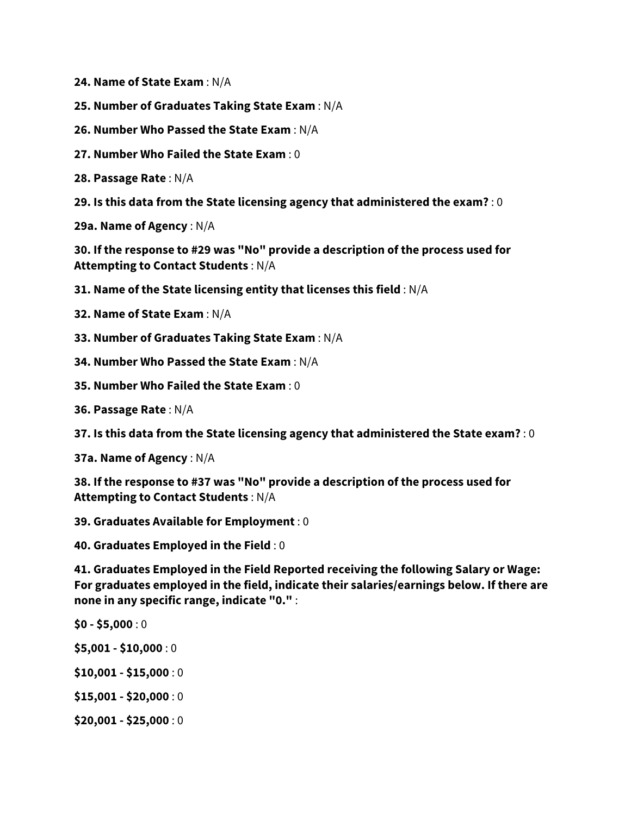**24. Name of State Exam** : N/A

- **25. Number of Graduates Taking State Exam** : N/A
- **26. Number Who Passed the State Exam** : N/A
- **27. Number Who Failed the State Exam** : 0

**28. Passage Rate** : N/A

**29. Is this data from the State licensing agency that administered the exam?** : 0

**29a. Name of Agency** : N/A

**30. If the response to #29 was "No" provide a description of the process used for Attempting to Contact Students** : N/A

**31. Name of the State licensing entity that licenses this field** : N/A

**32. Name of State Exam** : N/A

**33. Number of Graduates Taking State Exam** : N/A

**34. Number Who Passed the State Exam** : N/A

- **35. Number Who Failed the State Exam** : 0
- **36. Passage Rate** : N/A

**37. Is this data from the State licensing agency that administered the State exam?** : 0

**37a. Name of Agency** : N/A

**38. If the response to #37 was "No" provide a description of the process used for Attempting to Contact Students** : N/A

**39. Graduates Available for Employment** : 0

**40. Graduates Employed in the Field** : 0

**41. Graduates Employed in the Field Reported receiving the following Salary or Wage: For graduates employed in the field, indicate their salaries/earnings below. If there are none in any specific range, indicate "0."** :

- **\$0 - \$5,000** : 0
- **\$5,001 - \$10,000** : 0
- **\$10,001 - \$15,000** : 0
- **\$15,001 - \$20,000** : 0
- **\$20,001 - \$25,000** : 0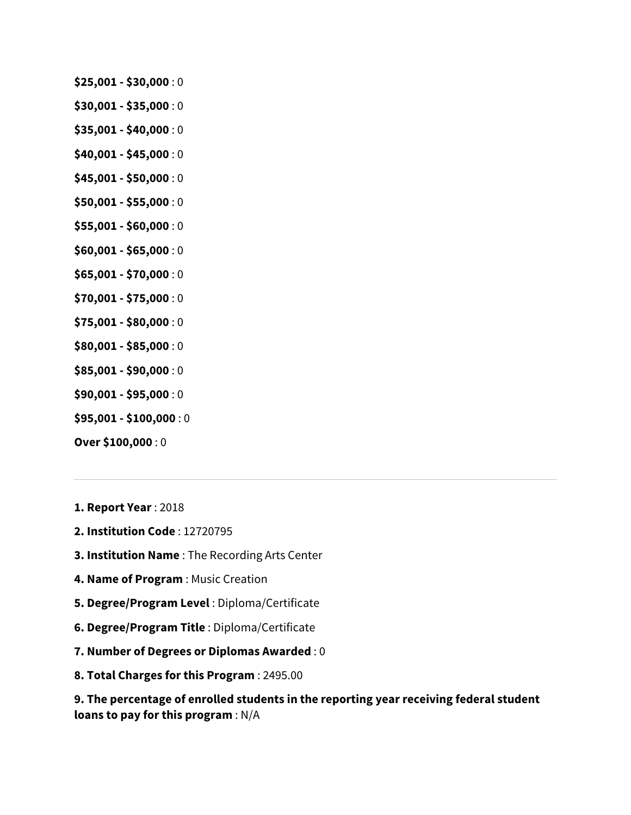- **\$25,001 - \$30,000** : 0
- **\$30,001 - \$35,000** : 0
- **\$35,001 - \$40,000** : 0
- **\$40,001 - \$45,000** : 0
- **\$45,001 - \$50,000** : 0
- **\$50,001 - \$55,000** : 0
- **\$55,001 - \$60,000** : 0
- **\$60,001 - \$65,000** : 0
- **\$65,001 - \$70,000** : 0
- **\$70,001 - \$75,000** : 0
- **\$75,001 - \$80,000** : 0
- **\$80,001 - \$85,000** : 0
- **\$85,001 - \$90,000** : 0
- **\$90,001 - \$95,000** : 0
- **\$95,001 - \$100,000** : 0
- **Over \$100,000** : 0
- **1. Report Year** : 2018
- **2. Institution Code** : 12720795
- **3. Institution Name** : The Recording Arts Center
- **4. Name of Program** : Music Creation
- **5. Degree/Program Level** : Diploma/Certificate
- **6. Degree/Program Title** : Diploma/Certificate
- **7. Number of Degrees or Diplomas Awarded** : 0
- **8. Total Charges for this Program** : 2495.00

**9. The percentage of enrolled students in the reporting year receiving federal student loans to pay for this program** : N/A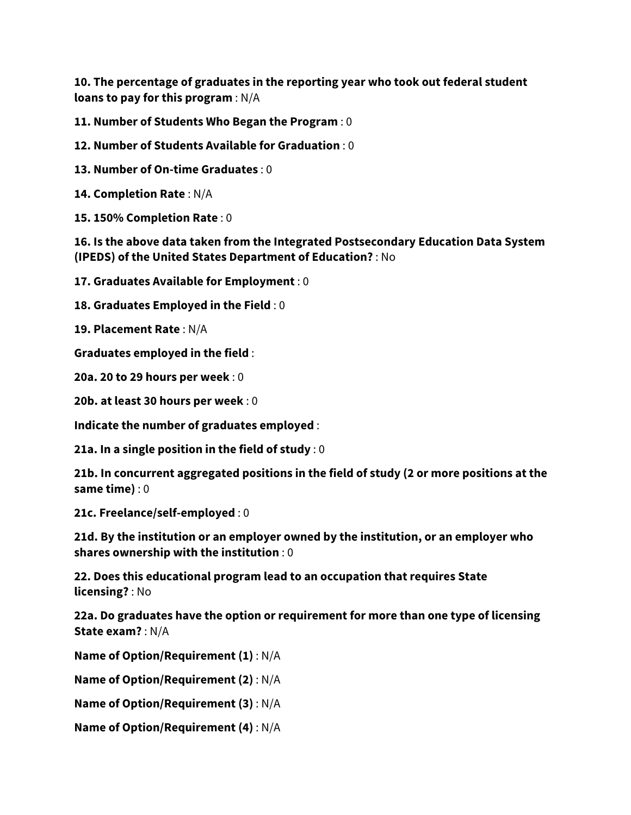**10. The percentage of graduates in the reporting year who took out federal student loans to pay for this program** : N/A

**11. Number of Students Who Began the Program** : 0

**12. Number of Students Available for Graduation** : 0

**13. Number of On-time Graduates** : 0

**14. Completion Rate** : N/A

**15. 150% Completion Rate** : 0

**16. Is the above data taken from the Integrated Postsecondary Education Data System (IPEDS) of the United States Department of Education?** : No

**17. Graduates Available for Employment** : 0

**18. Graduates Employed in the Field** : 0

**19. Placement Rate** : N/A

**Graduates employed in the field** :

**20a. 20 to 29 hours per week** : 0

**20b. at least 30 hours per week** : 0

**Indicate the number of graduates employed** :

**21a. In a single position in the field of study** : 0

**21b. In concurrent aggregated positions in the field of study (2 or more positions at the same time)** : 0

**21c. Freelance/self-employed** : 0

**21d. By the institution or an employer owned by the institution, or an employer who shares ownership with the institution** : 0

**22. Does this educational program lead to an occupation that requires State licensing?** : No

**22a. Do graduates have the option or requirement for more than one type of licensing State exam?** : N/A

**Name of Option/Requirement (1)** : N/A

**Name of Option/Requirement (2)** : N/A

**Name of Option/Requirement (3)** : N/A

**Name of Option/Requirement (4)** : N/A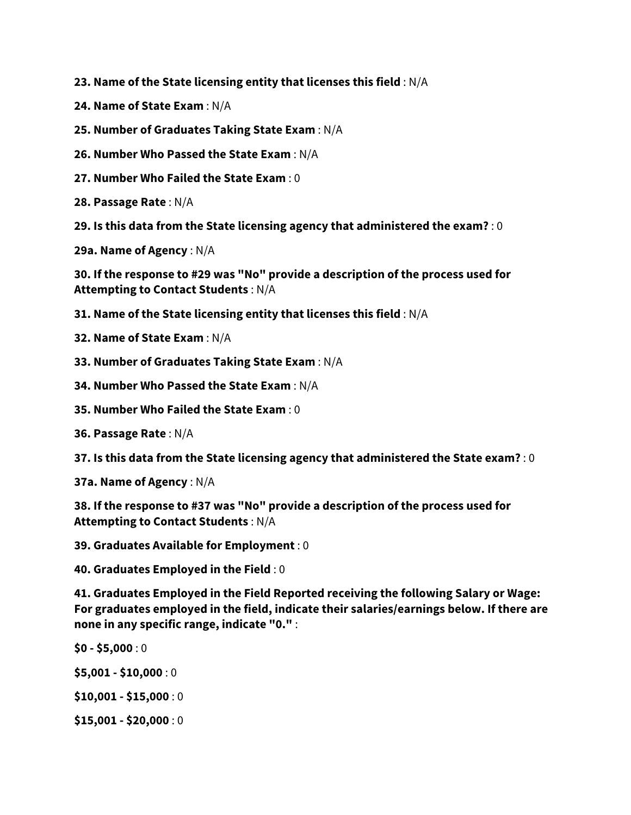**23. Name of the State licensing entity that licenses this field** : N/A

- **24. Name of State Exam** : N/A
- **25. Number of Graduates Taking State Exam** : N/A
- **26. Number Who Passed the State Exam** : N/A
- **27. Number Who Failed the State Exam** : 0
- **28. Passage Rate** : N/A
- **29. Is this data from the State licensing agency that administered the exam?** : 0
- **29a. Name of Agency** : N/A

**30. If the response to #29 was "No" provide a description of the process used for Attempting to Contact Students** : N/A

- **31. Name of the State licensing entity that licenses this field** : N/A
- **32. Name of State Exam** : N/A
- **33. Number of Graduates Taking State Exam** : N/A
- **34. Number Who Passed the State Exam** : N/A
- **35. Number Who Failed the State Exam** : 0
- **36. Passage Rate** : N/A
- **37. Is this data from the State licensing agency that administered the State exam?** : 0
- **37a. Name of Agency** : N/A

**38. If the response to #37 was "No" provide a description of the process used for Attempting to Contact Students** : N/A

- **39. Graduates Available for Employment** : 0
- **40. Graduates Employed in the Field** : 0

**41. Graduates Employed in the Field Reported receiving the following Salary or Wage: For graduates employed in the field, indicate their salaries/earnings below. If there are none in any specific range, indicate "0."** :

- **\$0 - \$5,000** : 0
- **\$5,001 - \$10,000** : 0
- **\$10,001 - \$15,000** : 0
- **\$15,001 - \$20,000** : 0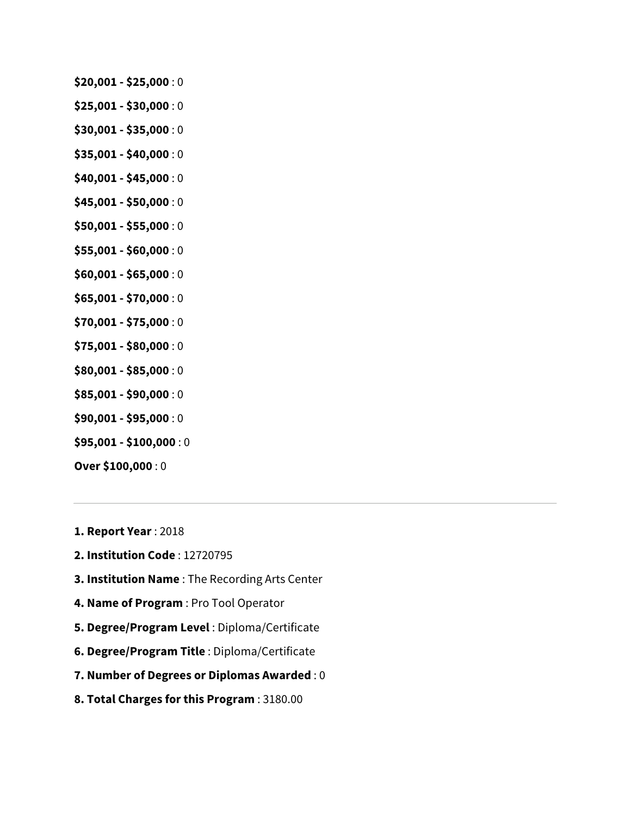- **\$20,001 - \$25,000** : 0
- **\$25,001 - \$30,000** : 0
- **\$30,001 - \$35,000** : 0
- **\$35,001 - \$40,000** : 0
- **\$40,001 - \$45,000** : 0
- **\$45,001 - \$50,000** : 0
- **\$50,001 - \$55,000** : 0
- **\$55,001 - \$60,000** : 0
- **\$60,001 - \$65,000** : 0
- **\$65,001 - \$70,000** : 0
- **\$70,001 - \$75,000** : 0
- **\$75,001 - \$80,000** : 0
- **\$80,001 - \$85,000** : 0
- **\$85,001 - \$90,000** : 0
- **\$90,001 - \$95,000** : 0
- **\$95,001 - \$100,000** : 0
- **Over \$100,000** : 0
- **1. Report Year** : 2018
- **2. Institution Code** : 12720795
- **3. Institution Name** : The Recording Arts Center
- **4. Name of Program** : Pro Tool Operator
- **5. Degree/Program Level** : Diploma/Certificate
- **6. Degree/Program Title** : Diploma/Certificate
- **7. Number of Degrees or Diplomas Awarded** : 0
- **8. Total Charges for this Program** : 3180.00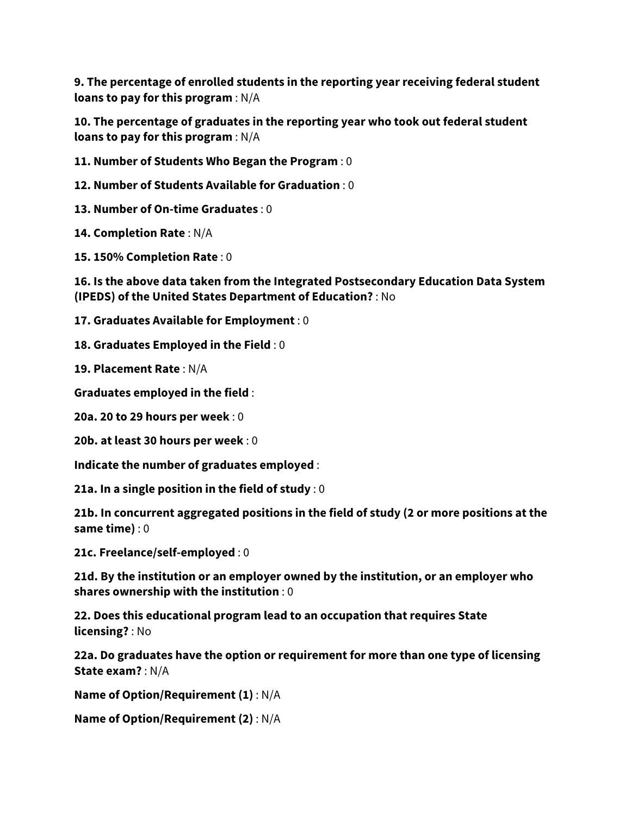**9. The percentage of enrolled students in the reporting year receiving federal student loans to pay for this program** : N/A

**10. The percentage of graduates in the reporting year who took out federal student loans to pay for this program** : N/A

**11. Number of Students Who Began the Program** : 0

**12. Number of Students Available for Graduation** : 0

**13. Number of On-time Graduates** : 0

**14. Completion Rate** : N/A

**15. 150% Completion Rate** : 0

**16. Is the above data taken from the Integrated Postsecondary Education Data System (IPEDS) of the United States Department of Education?** : No

**17. Graduates Available for Employment** : 0

**18. Graduates Employed in the Field** : 0

**19. Placement Rate** : N/A

**Graduates employed in the field** :

**20a. 20 to 29 hours per week** : 0

**20b. at least 30 hours per week** : 0

**Indicate the number of graduates employed** :

**21a. In a single position in the field of study** : 0

**21b. In concurrent aggregated positions in the field of study (2 or more positions at the same time)** : 0

**21c. Freelance/self-employed** : 0

**21d. By the institution or an employer owned by the institution, or an employer who shares ownership with the institution** : 0

**22. Does this educational program lead to an occupation that requires State licensing?** : No

**22a. Do graduates have the option or requirement for more than one type of licensing State exam?** : N/A

**Name of Option/Requirement (1)** : N/A

**Name of Option/Requirement (2)** : N/A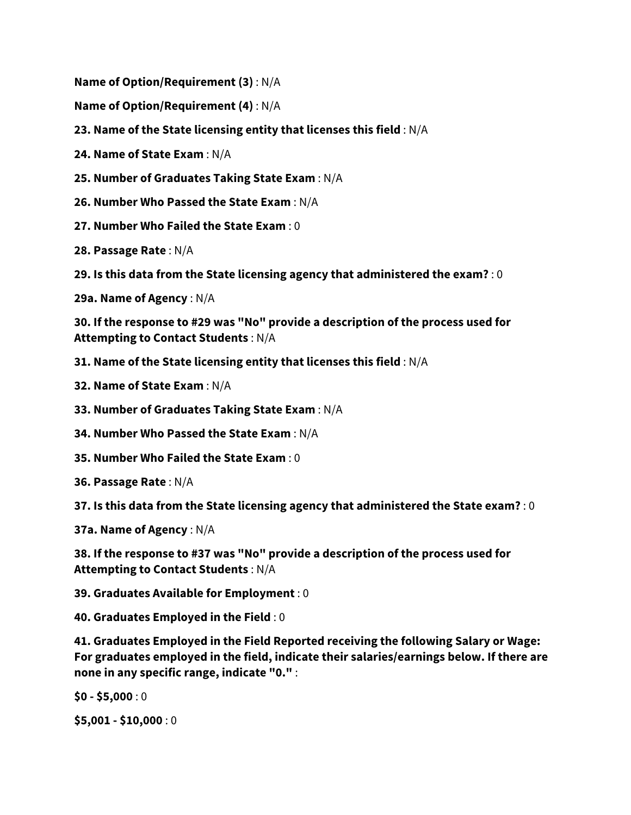**Name of Option/Requirement (3)** : N/A

- **Name of Option/Requirement (4)** : N/A
- **23. Name of the State licensing entity that licenses this field** : N/A
- **24. Name of State Exam** : N/A
- **25. Number of Graduates Taking State Exam** : N/A
- **26. Number Who Passed the State Exam** : N/A
- **27. Number Who Failed the State Exam** : 0
- **28. Passage Rate** : N/A
- **29. Is this data from the State licensing agency that administered the exam?** : 0
- **29a. Name of Agency** : N/A

**30. If the response to #29 was "No" provide a description of the process used for Attempting to Contact Students** : N/A

- **31. Name of the State licensing entity that licenses this field** : N/A
- **32. Name of State Exam** : N/A
- **33. Number of Graduates Taking State Exam** : N/A
- **34. Number Who Passed the State Exam** : N/A
- **35. Number Who Failed the State Exam** : 0
- **36. Passage Rate** : N/A

**37. Is this data from the State licensing agency that administered the State exam?** : 0

**37a. Name of Agency** : N/A

**38. If the response to #37 was "No" provide a description of the process used for Attempting to Contact Students** : N/A

**39. Graduates Available for Employment** : 0

**40. Graduates Employed in the Field** : 0

**41. Graduates Employed in the Field Reported receiving the following Salary or Wage: For graduates employed in the field, indicate their salaries/earnings below. If there are none in any specific range, indicate "0."** :

**\$0 - \$5,000** : 0

**\$5,001 - \$10,000** : 0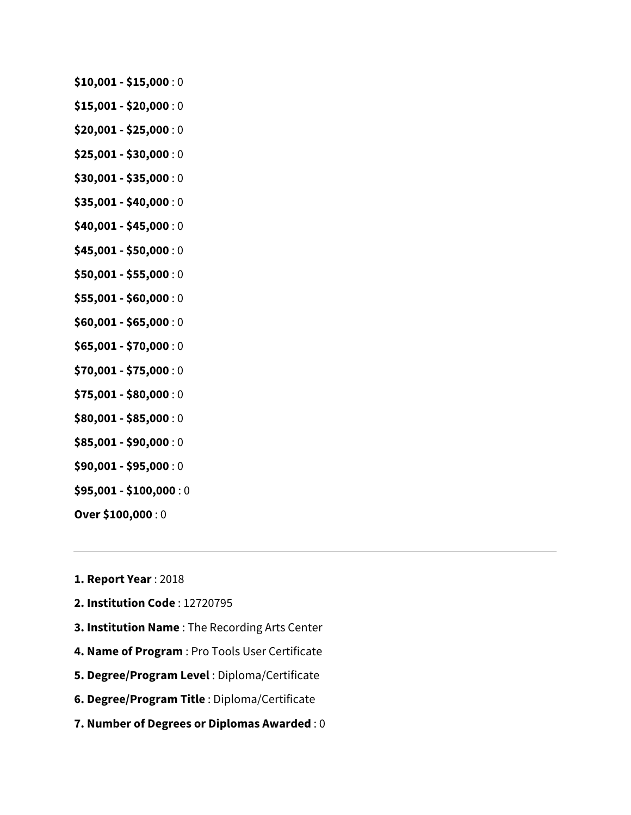- **\$10,001 - \$15,000** : 0
- **\$15,001 - \$20,000** : 0
- **\$20,001 - \$25,000** : 0
- **\$25,001 - \$30,000** : 0
- **\$30,001 - \$35,000** : 0
- **\$35,001 - \$40,000** : 0
- **\$40,001 - \$45,000** : 0
- **\$45,001 - \$50,000** : 0
- **\$50,001 - \$55,000** : 0
- **\$55,001 - \$60,000** : 0
- **\$60,001 - \$65,000** : 0
- **\$65,001 - \$70,000** : 0
- **\$70,001 - \$75,000** : 0
- **\$75,001 - \$80,000** : 0
- **\$80,001 - \$85,000** : 0
- **\$85,001 - \$90,000** : 0
- **\$90,001 - \$95,000** : 0
- **\$95,001 - \$100,000** : 0
- **Over \$100,000** : 0
- **1. Report Year** : 2018
- **2. Institution Code** : 12720795
- **3. Institution Name** : The Recording Arts Center
- **4. Name of Program** : Pro Tools User Certificate
- **5. Degree/Program Level** : Diploma/Certificate
- **6. Degree/Program Title** : Diploma/Certificate
- **7. Number of Degrees or Diplomas Awarded** : 0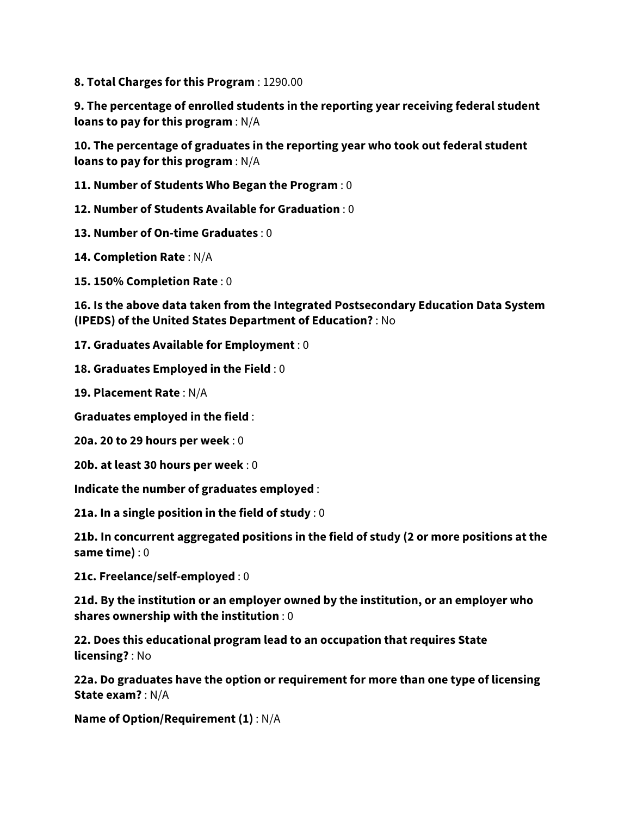**8. Total Charges for this Program** : 1290.00

**9. The percentage of enrolled students in the reporting year receiving federal student loans to pay for this program** : N/A

**10. The percentage of graduates in the reporting year who took out federal student loans to pay for this program** : N/A

**11. Number of Students Who Began the Program** : 0

**12. Number of Students Available for Graduation** : 0

**13. Number of On-time Graduates** : 0

**14. Completion Rate** : N/A

**15. 150% Completion Rate** : 0

**16. Is the above data taken from the Integrated Postsecondary Education Data System (IPEDS) of the United States Department of Education?** : No

**17. Graduates Available for Employment** : 0

**18. Graduates Employed in the Field** : 0

**19. Placement Rate** : N/A

**Graduates employed in the field** :

**20a. 20 to 29 hours per week** : 0

**20b. at least 30 hours per week** : 0

**Indicate the number of graduates employed** :

**21a. In a single position in the field of study** : 0

**21b. In concurrent aggregated positions in the field of study (2 or more positions at the same time)** : 0

**21c. Freelance/self-employed** : 0

**21d. By the institution or an employer owned by the institution, or an employer who shares ownership with the institution** : 0

**22. Does this educational program lead to an occupation that requires State licensing?** : No

**22a. Do graduates have the option or requirement for more than one type of licensing State exam?** : N/A

**Name of Option/Requirement (1)** : N/A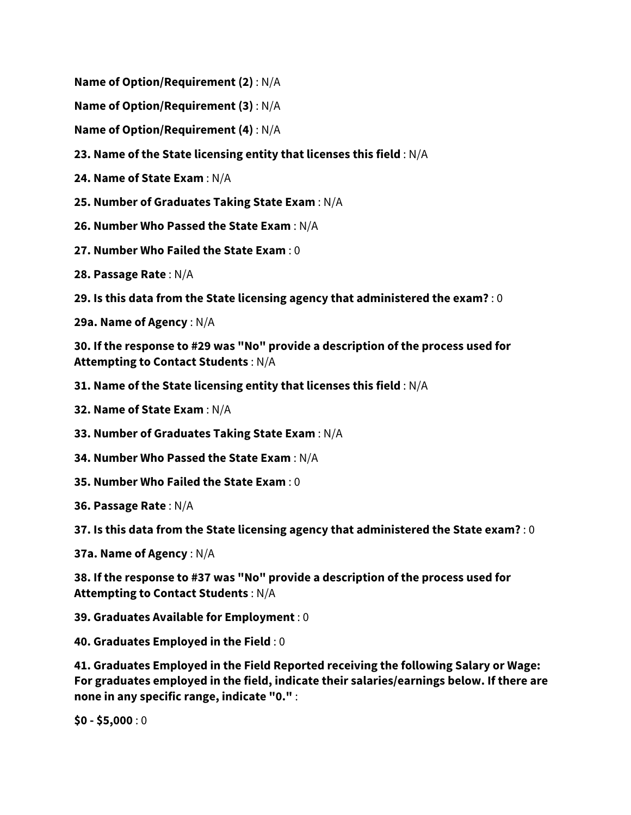**Name of Option/Requirement (2)** : N/A

**Name of Option/Requirement (3)** : N/A

**Name of Option/Requirement (4)** : N/A

**23. Name of the State licensing entity that licenses this field** : N/A

**24. Name of State Exam** : N/A

**25. Number of Graduates Taking State Exam** : N/A

**26. Number Who Passed the State Exam** : N/A

**27. Number Who Failed the State Exam** : 0

**28. Passage Rate** : N/A

**29. Is this data from the State licensing agency that administered the exam?** : 0

**29a. Name of Agency** : N/A

**30. If the response to #29 was "No" provide a description of the process used for Attempting to Contact Students** : N/A

**31. Name of the State licensing entity that licenses this field** : N/A

**32. Name of State Exam** : N/A

**33. Number of Graduates Taking State Exam** : N/A

**34. Number Who Passed the State Exam** : N/A

**35. Number Who Failed the State Exam** : 0

**36. Passage Rate** : N/A

**37. Is this data from the State licensing agency that administered the State exam?** : 0

**37a. Name of Agency** : N/A

**38. If the response to #37 was "No" provide a description of the process used for Attempting to Contact Students** : N/A

**39. Graduates Available for Employment** : 0

**40. Graduates Employed in the Field** : 0

**41. Graduates Employed in the Field Reported receiving the following Salary or Wage: For graduates employed in the field, indicate their salaries/earnings below. If there are none in any specific range, indicate "0."** :

**\$0 - \$5,000** : 0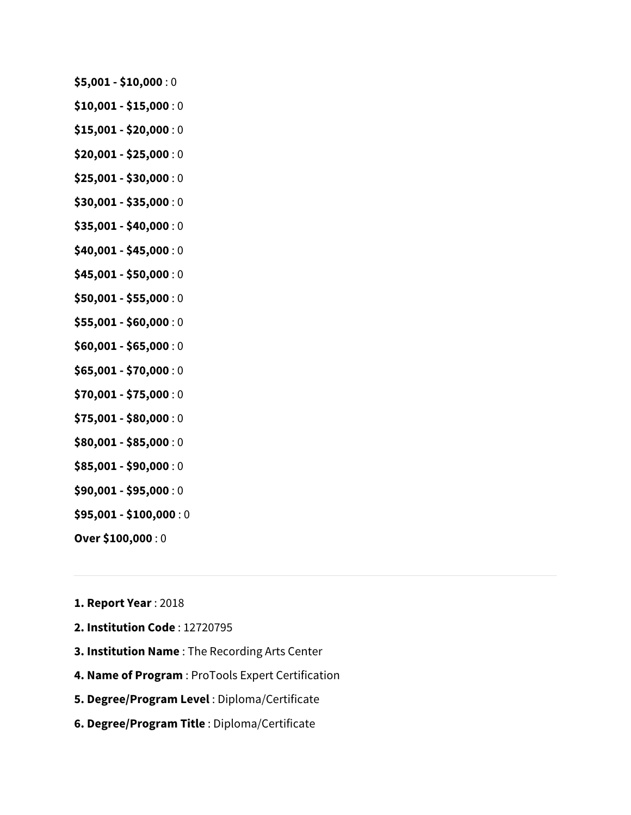- **\$5,001 - \$10,000** : 0
- **\$10,001 - \$15,000** : 0
- **\$15,001 - \$20,000** : 0
- **\$20,001 - \$25,000** : 0
- **\$25,001 - \$30,000** : 0
- **\$30,001 - \$35,000** : 0
- **\$35,001 - \$40,000** : 0
- **\$40,001 - \$45,000** : 0
- **\$45,001 - \$50,000** : 0
- **\$50,001 - \$55,000** : 0
- **\$55,001 - \$60,000** : 0
- **\$60,001 - \$65,000** : 0
- **\$65,001 - \$70,000** : 0
- **\$70,001 - \$75,000** : 0
- **\$75,001 - \$80,000** : 0
- **\$80,001 - \$85,000** : 0
- **\$85,001 - \$90,000** : 0
- **\$90,001 - \$95,000** : 0
- **\$95,001 - \$100,000** : 0
- **Over \$100,000** : 0
- **1. Report Year** : 2018
- **2. Institution Code** : 12720795
- **3. Institution Name** : The Recording Arts Center
- **4. Name of Program** : ProTools Expert Certification
- **5. Degree/Program Level** : Diploma/Certificate
- **6. Degree/Program Title** : Diploma/Certificate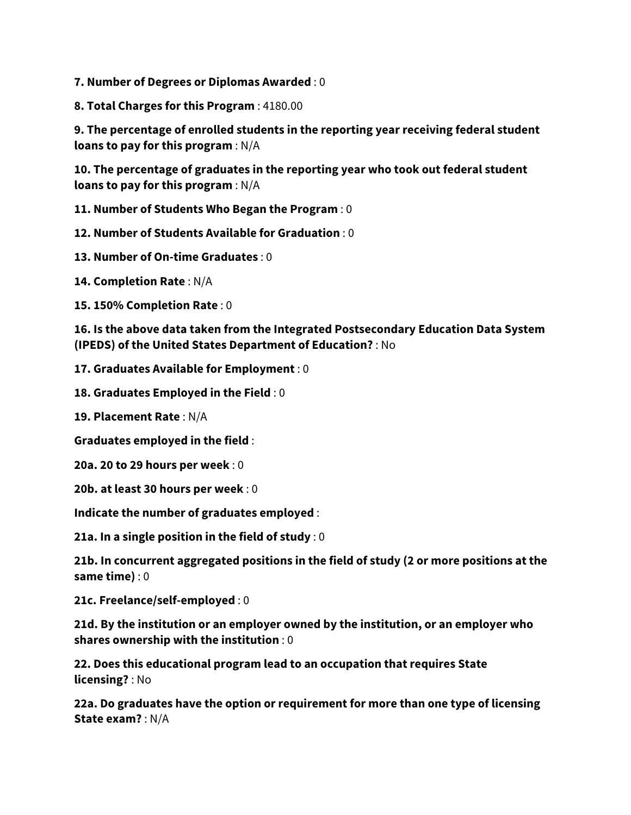**7. Number of Degrees or Diplomas Awarded** : 0

**8. Total Charges for this Program** : 4180.00

**9. The percentage of enrolled students in the reporting year receiving federal student loans to pay for this program** : N/A

**10. The percentage of graduates in the reporting year who took out federal student loans to pay for this program** : N/A

**11. Number of Students Who Began the Program** : 0

**12. Number of Students Available for Graduation** : 0

**13. Number of On-time Graduates** : 0

**14. Completion Rate** : N/A

**15. 150% Completion Rate** : 0

**16. Is the above data taken from the Integrated Postsecondary Education Data System (IPEDS) of the United States Department of Education?** : No

**17. Graduates Available for Employment** : 0

**18. Graduates Employed in the Field** : 0

**19. Placement Rate** : N/A

**Graduates employed in the field** :

**20a. 20 to 29 hours per week** : 0

**20b. at least 30 hours per week** : 0

**Indicate the number of graduates employed** :

**21a. In a single position in the field of study** : 0

**21b. In concurrent aggregated positions in the field of study (2 or more positions at the same time)** : 0

**21c. Freelance/self-employed** : 0

**21d. By the institution or an employer owned by the institution, or an employer who shares ownership with the institution** : 0

**22. Does this educational program lead to an occupation that requires State licensing?** : No

**22a. Do graduates have the option or requirement for more than one type of licensing State exam?** : N/A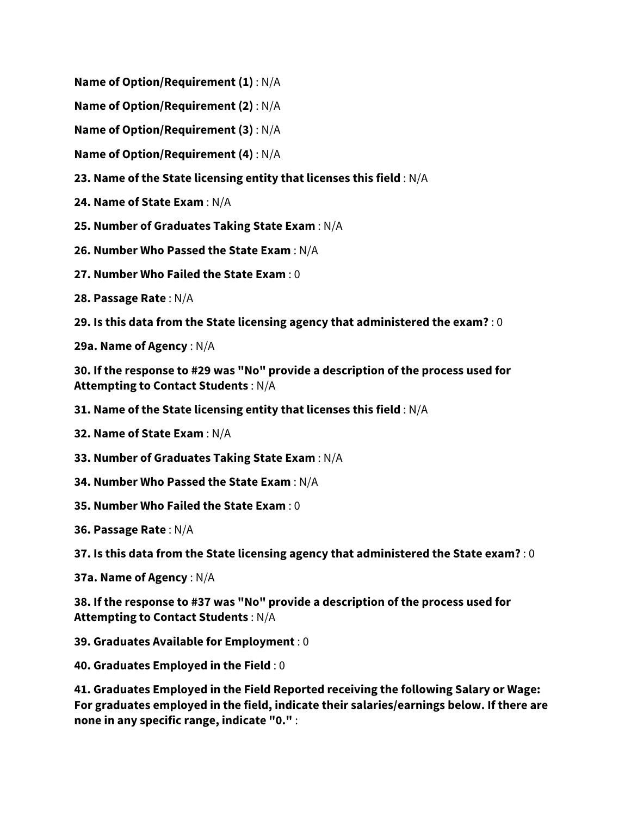**Name of Option/Requirement (1)** : N/A

**Name of Option/Requirement (2)** : N/A

**Name of Option/Requirement (3)** : N/A

**Name of Option/Requirement (4)** : N/A

**23. Name of the State licensing entity that licenses this field** : N/A

**24. Name of State Exam** : N/A

**25. Number of Graduates Taking State Exam** : N/A

**26. Number Who Passed the State Exam** : N/A

**27. Number Who Failed the State Exam** : 0

**28. Passage Rate** : N/A

**29. Is this data from the State licensing agency that administered the exam?** : 0

**29a. Name of Agency** : N/A

**30. If the response to #29 was "No" provide a description of the process used for Attempting to Contact Students** : N/A

**31. Name of the State licensing entity that licenses this field** : N/A

**32. Name of State Exam** : N/A

**33. Number of Graduates Taking State Exam** : N/A

**34. Number Who Passed the State Exam** : N/A

**35. Number Who Failed the State Exam** : 0

**36. Passage Rate** : N/A

**37. Is this data from the State licensing agency that administered the State exam?** : 0

**37a. Name of Agency** : N/A

**38. If the response to #37 was "No" provide a description of the process used for Attempting to Contact Students** : N/A

**39. Graduates Available for Employment** : 0

**40. Graduates Employed in the Field** : 0

**41. Graduates Employed in the Field Reported receiving the following Salary or Wage: For graduates employed in the field, indicate their salaries/earnings below. If there are none in any specific range, indicate "0."** :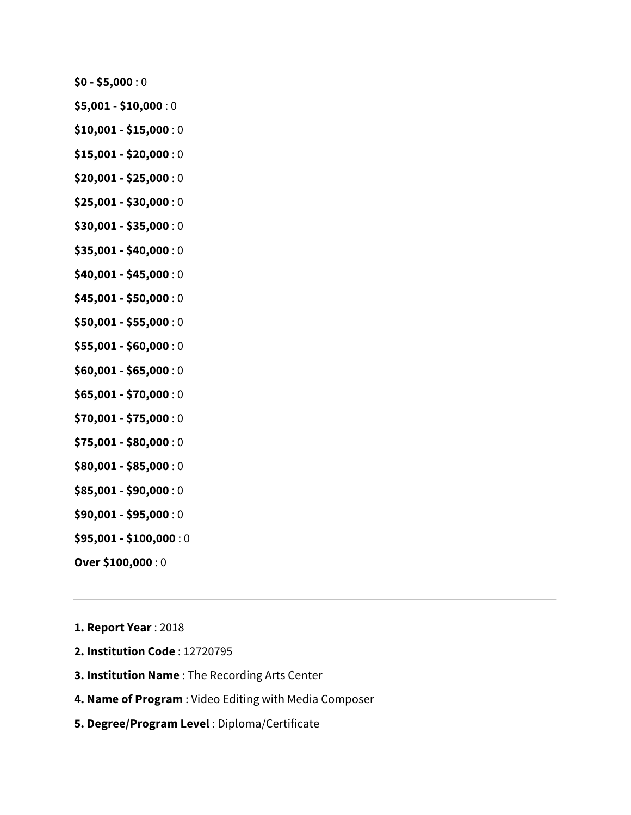**\$0 - \$5,000** : 0

- **\$5,001 - \$10,000** : 0
- **\$10,001 - \$15,000** : 0
- **\$15,001 - \$20,000** : 0
- **\$20,001 - \$25,000** : 0
- **\$25,001 - \$30,000** : 0
- **\$30,001 - \$35,000** : 0
- **\$35,001 - \$40,000** : 0
- **\$40,001 - \$45,000** : 0
- **\$45,001 - \$50,000** : 0
- **\$50,001 - \$55,000** : 0
- **\$55,001 - \$60,000** : 0
- **\$60,001 - \$65,000** : 0
- **\$65,001 - \$70,000** : 0
- **\$70,001 - \$75,000** : 0
- **\$75,001 - \$80,000** : 0
- **\$80,001 - \$85,000** : 0
- **\$85,001 - \$90,000** : 0
- **\$90,001 - \$95,000** : 0
- **\$95,001 - \$100,000** : 0
- **Over \$100,000** : 0

**1. Report Year** : 2018

- **2. Institution Code** : 12720795
- **3. Institution Name** : The Recording Arts Center
- **4. Name of Program** : Video Editing with Media Composer
- **5. Degree/Program Level** : Diploma/Certificate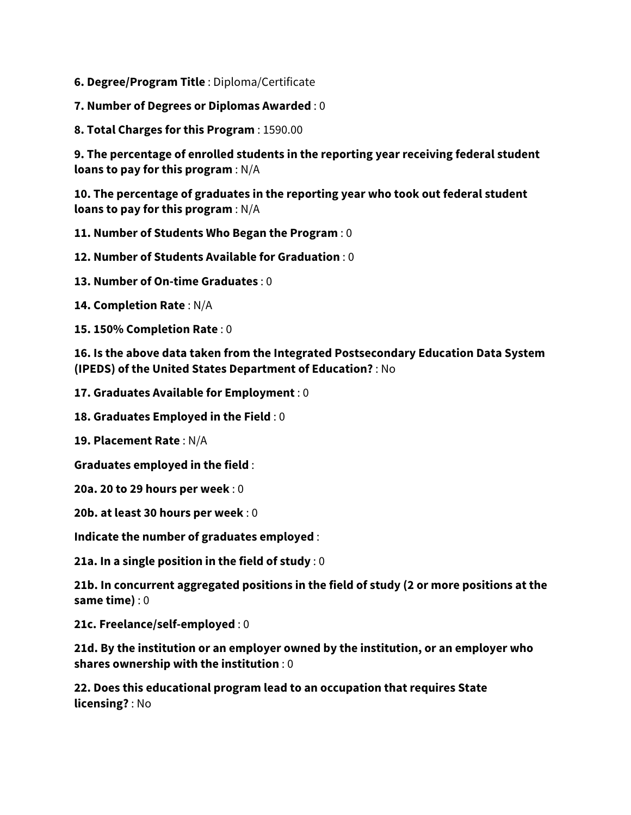**6. Degree/Program Title** : Diploma/Certificate

**7. Number of Degrees or Diplomas Awarded** : 0

**8. Total Charges for this Program** : 1590.00

**9. The percentage of enrolled students in the reporting year receiving federal student loans to pay for this program** : N/A

**10. The percentage of graduates in the reporting year who took out federal student loans to pay for this program** : N/A

**11. Number of Students Who Began the Program** : 0

**12. Number of Students Available for Graduation** : 0

**13. Number of On-time Graduates** : 0

**14. Completion Rate** : N/A

**15. 150% Completion Rate** : 0

**16. Is the above data taken from the Integrated Postsecondary Education Data System (IPEDS) of the United States Department of Education?** : No

**17. Graduates Available for Employment** : 0

**18. Graduates Employed in the Field** : 0

**19. Placement Rate** : N/A

**Graduates employed in the field** :

**20a. 20 to 29 hours per week** : 0

**20b. at least 30 hours per week** : 0

**Indicate the number of graduates employed** :

**21a. In a single position in the field of study** : 0

**21b. In concurrent aggregated positions in the field of study (2 or more positions at the same time)** : 0

**21c. Freelance/self-employed** : 0

**21d. By the institution or an employer owned by the institution, or an employer who shares ownership with the institution** : 0

**22. Does this educational program lead to an occupation that requires State licensing?** : No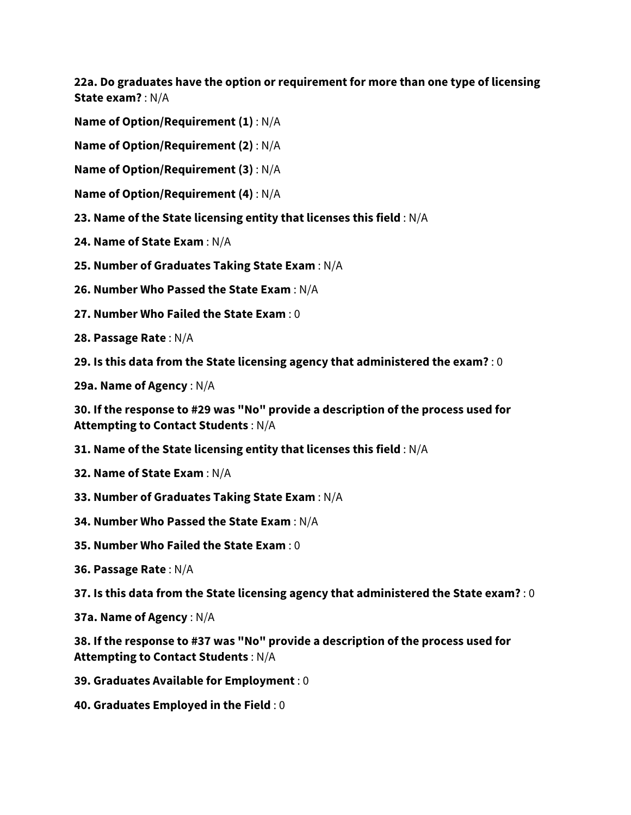**22a. Do graduates have the option or requirement for more than one type of licensing State exam?** : N/A

**Name of Option/Requirement (1)** : N/A

**Name of Option/Requirement (2)** : N/A

**Name of Option/Requirement (3)** : N/A

- **Name of Option/Requirement (4)** : N/A
- **23. Name of the State licensing entity that licenses this field** : N/A
- **24. Name of State Exam** : N/A
- **25. Number of Graduates Taking State Exam** : N/A

**26. Number Who Passed the State Exam** : N/A

**27. Number Who Failed the State Exam** : 0

**28. Passage Rate** : N/A

**29. Is this data from the State licensing agency that administered the exam?** : 0

**29a. Name of Agency** : N/A

**30. If the response to #29 was "No" provide a description of the process used for Attempting to Contact Students** : N/A

- **31. Name of the State licensing entity that licenses this field** : N/A
- **32. Name of State Exam** : N/A
- **33. Number of Graduates Taking State Exam** : N/A
- **34. Number Who Passed the State Exam** : N/A
- **35. Number Who Failed the State Exam** : 0
- **36. Passage Rate** : N/A

**37. Is this data from the State licensing agency that administered the State exam?** : 0

**37a. Name of Agency** : N/A

**38. If the response to #37 was "No" provide a description of the process used for Attempting to Contact Students** : N/A

- **39. Graduates Available for Employment** : 0
- **40. Graduates Employed in the Field** : 0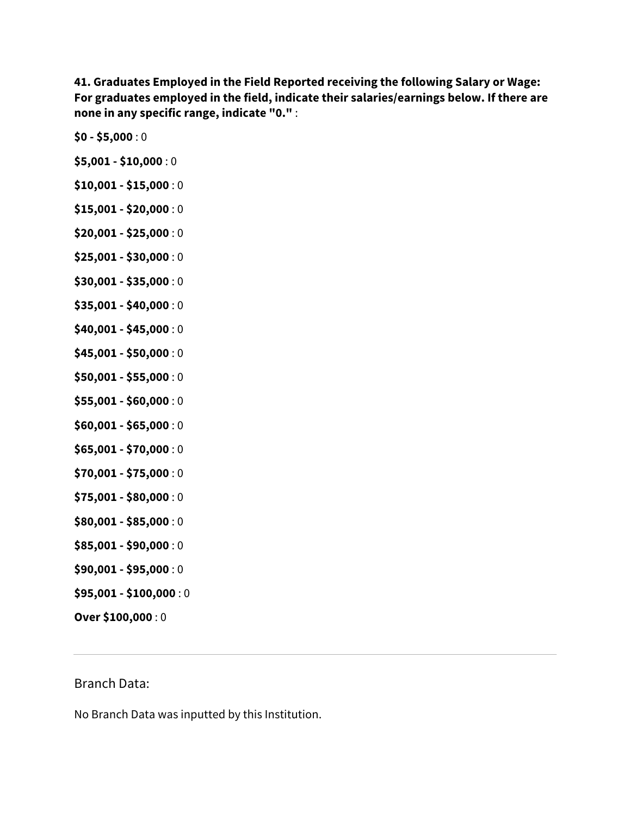**41. Graduates Employed in the Field Reported receiving the following Salary or Wage: For graduates employed in the field, indicate their salaries/earnings below. If there are none in any specific range, indicate "0."** :

- **\$0 - \$5,000** : 0
- **\$5,001 - \$10,000** : 0
- **\$10,001 - \$15,000** : 0
- **\$15,001 - \$20,000** : 0
- **\$20,001 - \$25,000** : 0
- **\$25,001 - \$30,000** : 0
- **\$30,001 - \$35,000** : 0
- **\$35,001 - \$40,000** : 0
- **\$40,001 - \$45,000** : 0
- **\$45,001 - \$50,000** : 0
- **\$50,001 - \$55,000** : 0
- **\$55,001 - \$60,000** : 0
- **\$60,001 - \$65,000** : 0
- **\$65,001 - \$70,000** : 0
- **\$70,001 - \$75,000** : 0
- **\$75,001 - \$80,000** : 0
- **\$80,001 - \$85,000** : 0
- **\$85,001 - \$90,000** : 0
- **\$90,001 - \$95,000** : 0
- **\$95,001 - \$100,000** : 0
- **Over \$100,000** : 0

## Branch Data:

No Branch Data was inputted by this Institution.